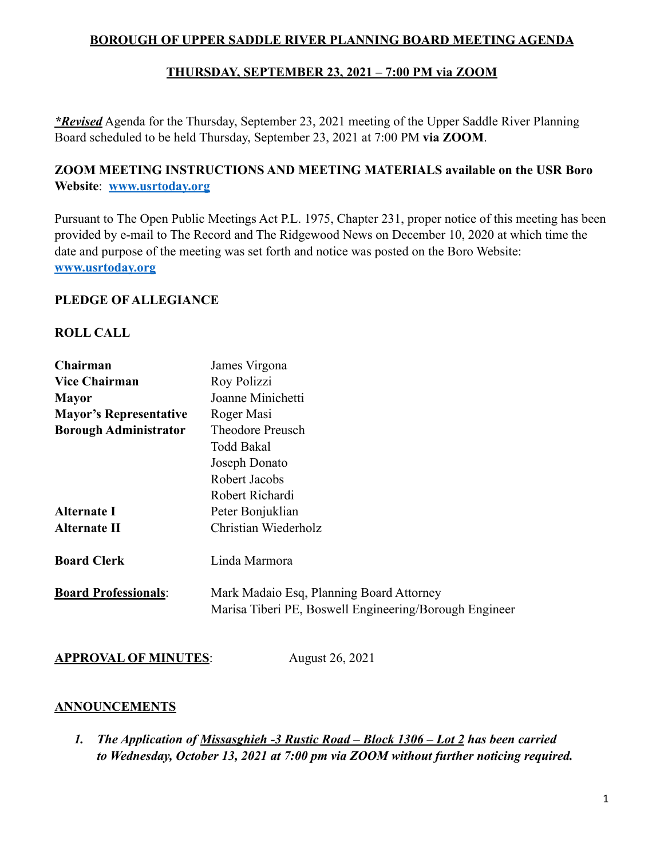# **BOROUGH OF UPPER SADDLE RIVER PLANNING BOARD MEETING AGENDA**

# **THURSDAY, SEPTEMBER 23, 2021 – 7:00 PM via ZOOM**

*\*Revised* Agenda for the Thursday, September 23, 2021 meeting of the Upper Saddle River Planning Board scheduled to be held Thursday, September 23, 2021 at 7:00 PM **via ZOOM**.

# **ZOOM MEETING INSTRUCTIONS AND MEETING MATERIALS available on the USR Boro Website**: **[www.usrtoday.org](http://www.usrtoday.org)**

Pursuant to The Open Public Meetings Act P.L. 1975, Chapter 231, proper notice of this meeting has been provided by e-mail to The Record and The Ridgewood News on December 10, 2020 at which time the date and purpose of the meeting was set forth and notice was posted on the Boro Website: **[www.usrtoday.org](http://www.usrtoday.org)**

#### **PLEDGE OF ALLEGIANCE**

#### **ROLL CALL**

| Chairman                      | James Virgona                                                                                      |
|-------------------------------|----------------------------------------------------------------------------------------------------|
| <b>Vice Chairman</b>          | Roy Polizzi                                                                                        |
| <b>Mayor</b>                  | Joanne Minichetti                                                                                  |
| <b>Mayor's Representative</b> | Roger Masi                                                                                         |
| <b>Borough Administrator</b>  | <b>Theodore Preusch</b>                                                                            |
|                               | Todd Bakal                                                                                         |
|                               | Joseph Donato                                                                                      |
|                               | Robert Jacobs                                                                                      |
|                               | Robert Richardi                                                                                    |
| <b>Alternate I</b>            | Peter Bonjuklian                                                                                   |
| Alternate II                  | Christian Wiederholz                                                                               |
| <b>Board Clerk</b>            | Linda Marmora                                                                                      |
| <b>Board Professionals:</b>   | Mark Madaio Esq, Planning Board Attorney<br>Marisa Tiberi PE, Boswell Engineering/Borough Engineer |

**APPROVAL OF MINUTES**: August 26, 2021

## **ANNOUNCEMENTS**

*1. The Application of Missasghieh -3 Rustic Road – Block 1306 – Lot 2 has been carried to Wednesday, October 13, 2021 at 7:00 pm via ZOOM without further noticing required.*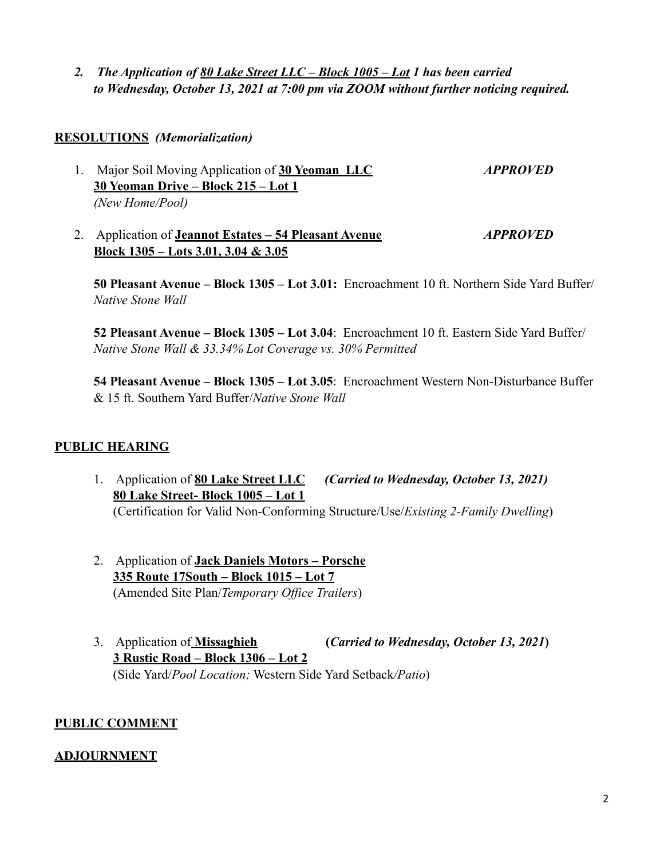*2. The Application of 80 Lake Street LLC – Block 1005 – Lot 1 has been carried to Wednesday, October 13, 2021 at 7:00 pm via ZOOM without further noticing required.* 

#### **RESOLUTIONS** *(Memorialization)*

- 1. Major Soil Moving Application of **30 Yeoman LLC** *APPROVED* **30 Yeoman Drive – Block 215 – Lot 1** *(New Home/Pool)*
- 2. Application of **Jeannot Estates 54 Pleasant Avenue** *APPROVED* **Block 1305 – Lots 3.01, 3.04 & 3.05**

**50 Pleasant Avenue – Block 1305 – Lot 3.01:** Encroachment 10 ft. Northern Side Yard Buffer/ *Native Stone Wall*

**52 Pleasant Avenue – Block 1305 – Lot 3.04**: Encroachment 10 ft. Eastern Side Yard Buffer/ *Native Stone Wall & 33.34% Lot Coverage vs. 30% Permitted*

**54 Pleasant Avenue – Block 1305 – Lot 3.05**: Encroachment Western Non-Disturbance Buffer & 15 ft. Southern Yard Buffer/*Native Stone Wall*

## **PUBLIC HEARING**

- 1. Application of **80 Lake Street LLC** *(Carried to Wednesday, October 13, 2021)* **80 Lake Street- Block 1005 – Lot 1** (Certification for Valid Non-Conforming Structure/Use/*Existing 2-Family Dwelling*)
- 2. Application of **Jack Daniels Motors Porsche 335 Route 17South – Block 1015 – Lot 7** (Amended Site Plan/*Temporary Office Trailers*)
- 3. Application of **Missaghieh (***Carried to Wednesday, October 13, 2021***) 3 Rustic Road – Block 1306 – Lot 2** (Side Yard/*Pool Location;* Western Side Yard Setback*/Patio*)

## **PUBLIC COMMENT**

## **ADJOURNMENT**